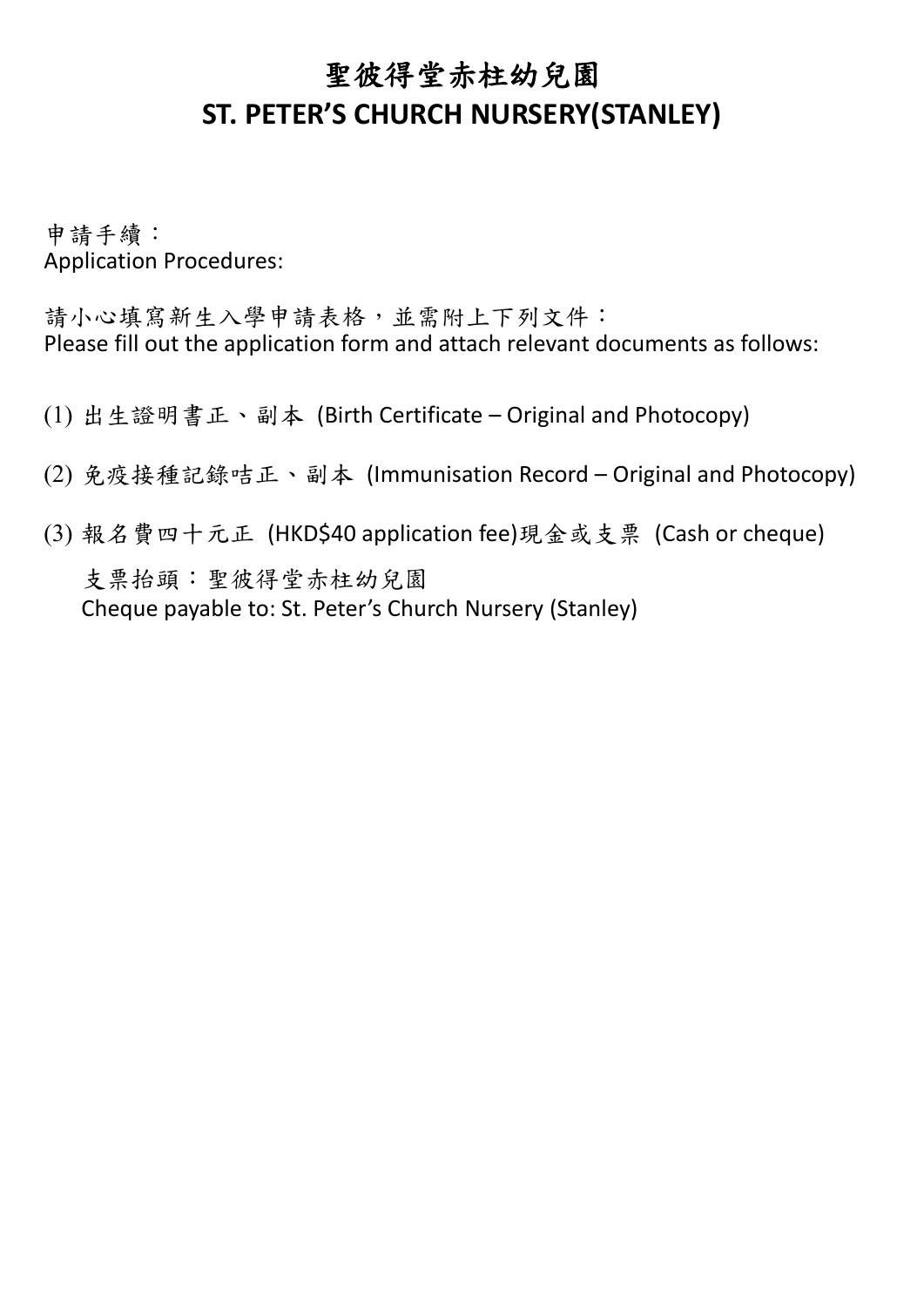## 聖彼得堂赤柱幼兒園 **ST. PETER'S CHURCH NURSERY(STANLEY)**

申請手續: Application Procedures:

請小心填寫新生入學申請表格,並需附上下列文件: Please fill out the application form and attach relevant documents as follows:

- (1) 出生證明書正、副本 (Birth Certificate Original and Photocopy)
- (2) 免疫接種記錄咭正、副本 (Immunisation Record Original and Photocopy)
- (3) 報名費四十元正 (HKD\$40 application fee)現金或支票 (Cash or cheque) 支票抬頭:聖彼得堂赤柱幼兒園 Cheque payable to: St. Peter's Church Nursery (Stanley)